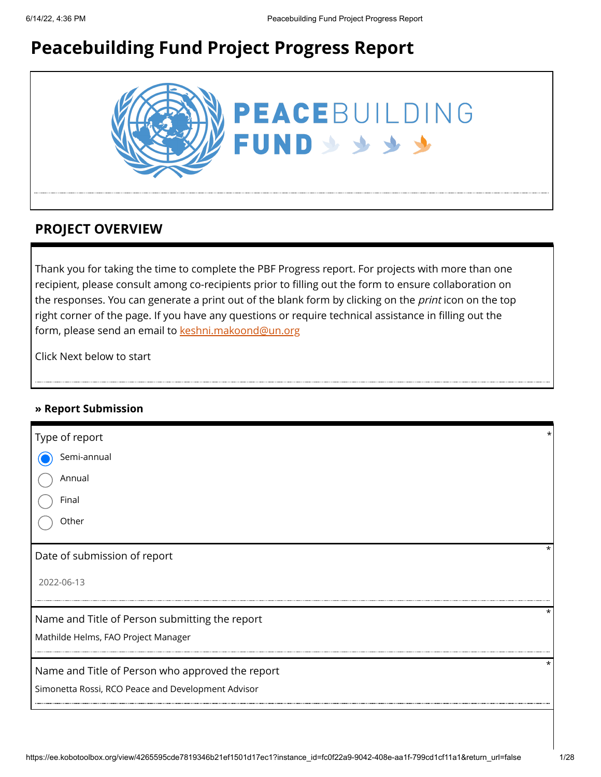# **Peacebuilding Fund Project Progress Report**



### **PROJECT OVERVIEW**

Thank you for taking the time to complete the PBF Progress report. For projects with more than one recipient, please consult among co-recipients prior to filling out the form to ensure collaboration on the responses. You can generate a print out of the blank form by clicking on the *print* icon on the top right corner of the page. If you have any questions or require technical assistance in filling out the form, please send an email to [keshni.makoond@un.org](https://ee.kobotoolbox.org/view/keshni.makoond@un.org)

Click Next below to start

### **» Report Submission**

| Type of report                                     |         |
|----------------------------------------------------|---------|
| Semi-annual                                        |         |
| Annual                                             |         |
| Final                                              |         |
| Other                                              |         |
| Date of submission of report                       | $\star$ |
| 2022-06-13                                         |         |
| Name and Title of Person submitting the report     | *       |
| Mathilde Helms, FAO Project Manager                |         |
| Name and Title of Person who approved the report   | $\star$ |
| Simonetta Rossi, RCO Peace and Development Advisor |         |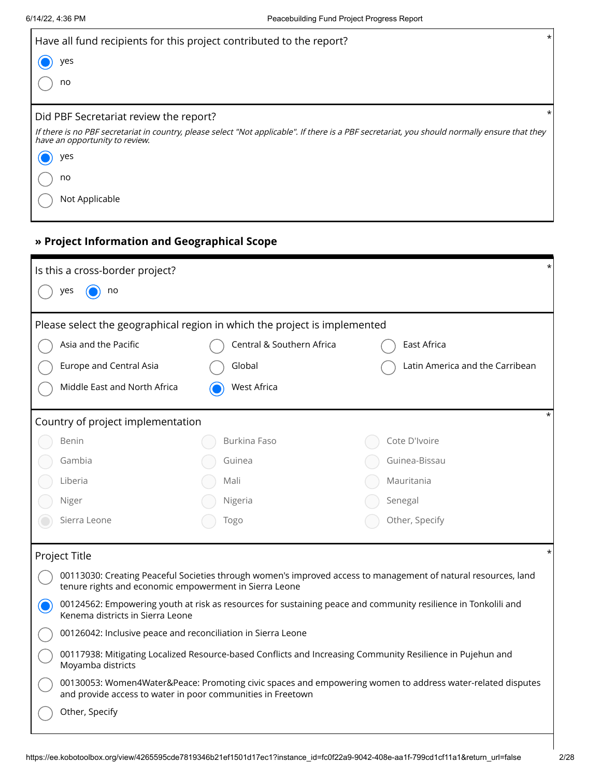| Have all fund recipients for this project contributed to the report?                                                                                                             | $\star$ |
|----------------------------------------------------------------------------------------------------------------------------------------------------------------------------------|---------|
| yes                                                                                                                                                                              |         |
| no                                                                                                                                                                               |         |
|                                                                                                                                                                                  |         |
| Did PBF Secretariat review the report?                                                                                                                                           |         |
| If there is no PBF secretariat in country, please select "Not applicable". If there is a PBF secretariat, you should normally ensure that they<br>have an opportunity to review. |         |
| yes                                                                                                                                                                              |         |
| no                                                                                                                                                                               |         |
| Not Applicable                                                                                                                                                                   |         |

### **» Project Information and Geographical Scope**

| Is this a cross-border project?                                                                                                                    |                                                                           | $\star$                                                                                                        |  |  |  |  |
|----------------------------------------------------------------------------------------------------------------------------------------------------|---------------------------------------------------------------------------|----------------------------------------------------------------------------------------------------------------|--|--|--|--|
| no<br>ves                                                                                                                                          |                                                                           |                                                                                                                |  |  |  |  |
|                                                                                                                                                    | Please select the geographical region in which the project is implemented |                                                                                                                |  |  |  |  |
| Asia and the Pacific                                                                                                                               | Central & Southern Africa                                                 | East Africa                                                                                                    |  |  |  |  |
| <b>Europe and Central Asia</b>                                                                                                                     | Global                                                                    | Latin America and the Carribean                                                                                |  |  |  |  |
| Middle East and North Africa                                                                                                                       | West Africa                                                               |                                                                                                                |  |  |  |  |
| Country of project implementation                                                                                                                  |                                                                           | $\star$                                                                                                        |  |  |  |  |
| Benin                                                                                                                                              | Burkina Faso                                                              | Cote D'Ivoire                                                                                                  |  |  |  |  |
| Gambia                                                                                                                                             | Guinea                                                                    | Guinea-Bissau                                                                                                  |  |  |  |  |
| Liberia                                                                                                                                            | Mali                                                                      | Mauritania                                                                                                     |  |  |  |  |
| Niger                                                                                                                                              | Nigeria                                                                   | Senegal                                                                                                        |  |  |  |  |
| Sierra Leone                                                                                                                                       | Togo                                                                      | Other, Specify                                                                                                 |  |  |  |  |
| Project Title                                                                                                                                      |                                                                           | $\star$                                                                                                        |  |  |  |  |
|                                                                                                                                                    | tenure rights and economic empowerment in Sierra Leone                    | 00113030: Creating Peaceful Societies through women's improved access to management of natural resources, land |  |  |  |  |
| 00124562: Empowering youth at risk as resources for sustaining peace and community resilience in Tonkolili and<br>Kenema districts in Sierra Leone |                                                                           |                                                                                                                |  |  |  |  |
| 00126042: Inclusive peace and reconciliation in Sierra Leone                                                                                       |                                                                           |                                                                                                                |  |  |  |  |
| 00117938: Mitigating Localized Resource-based Conflicts and Increasing Community Resilience in Pujehun and<br>Moyamba districts                    |                                                                           |                                                                                                                |  |  |  |  |
|                                                                                                                                                    | and provide access to water in poor communities in Freetown               | 00130053: Women4Water&Peace: Promoting civic spaces and empowering women to address water-related disputes     |  |  |  |  |
| Other, Specify                                                                                                                                     |                                                                           |                                                                                                                |  |  |  |  |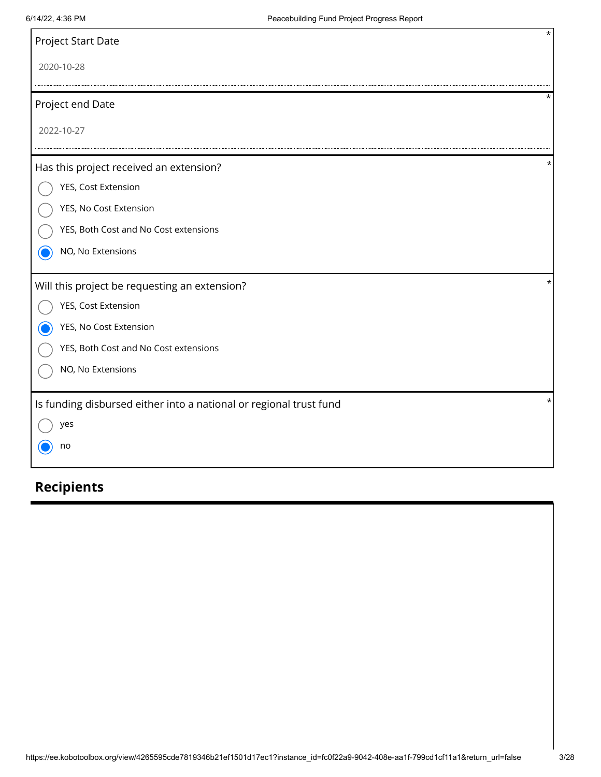| Project Start Date                                                 | $\star$  |
|--------------------------------------------------------------------|----------|
| 2020-10-28                                                         |          |
| Project end Date                                                   |          |
| 2022-10-27                                                         |          |
| Has this project received an extension?                            | $^\star$ |
| YES, Cost Extension                                                |          |
| YES, No Cost Extension                                             |          |
| YES, Both Cost and No Cost extensions                              |          |
| NO, No Extensions                                                  |          |
| Will this project be requesting an extension?                      | *        |
| YES, Cost Extension                                                |          |
| YES, No Cost Extension                                             |          |
| YES, Both Cost and No Cost extensions                              |          |
| NO, No Extensions                                                  |          |
| Is funding disbursed either into a national or regional trust fund | *        |
| yes                                                                |          |
| no                                                                 |          |

# **Recipients**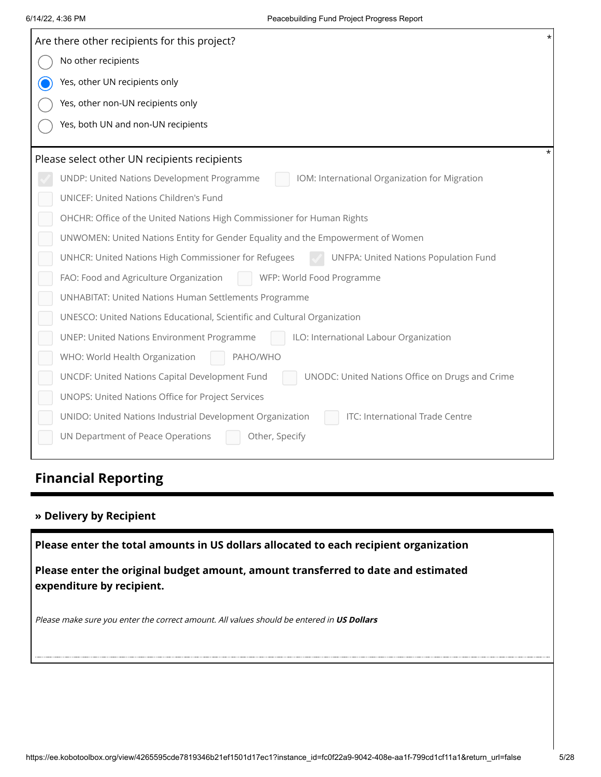| Are there other recipients for this project?                                                      |  |
|---------------------------------------------------------------------------------------------------|--|
| No other recipients                                                                               |  |
| Yes, other UN recipients only                                                                     |  |
| Yes, other non-UN recipients only                                                                 |  |
| Yes, both UN and non-UN recipients                                                                |  |
|                                                                                                   |  |
| Please select other UN recipients recipients                                                      |  |
| IOM: International Organization for Migration<br>UNDP: United Nations Development Programme       |  |
| UNICEF: United Nations Children's Fund                                                            |  |
| OHCHR: Office of the United Nations High Commissioner for Human Rights                            |  |
| UNWOMEN: United Nations Entity for Gender Equality and the Empowerment of Women                   |  |
| UNHCR: United Nations High Commissioner for Refugees<br>UNFPA: United Nations Population Fund     |  |
| FAO: Food and Agriculture Organization<br>WFP: World Food Programme                               |  |
| UNHABITAT: United Nations Human Settlements Programme                                             |  |
| UNESCO: United Nations Educational, Scientific and Cultural Organization                          |  |
| <b>UNEP: United Nations Environment Programme</b><br>ILO: International Labour Organization       |  |
| WHO: World Health Organization<br>PAHO/WHO                                                        |  |
| UNCDF: United Nations Capital Development Fund<br>UNODC: United Nations Office on Drugs and Crime |  |
| UNOPS: United Nations Office for Project Services                                                 |  |
| UNIDO: United Nations Industrial Development Organization<br>ITC: International Trade Centre      |  |
| UN Department of Peace Operations<br>Other, Specify                                               |  |
|                                                                                                   |  |
| <b>Financial Reporting</b>                                                                        |  |
|                                                                                                   |  |
| » Delivery by Recipient                                                                           |  |
| Please enter the total amounts in US dollars allocated to each recipient organization             |  |
| Please enter the original budget amount, amount transferred to date and estimated                 |  |
| expenditure by recipient.                                                                         |  |
|                                                                                                   |  |
| Please make sure you enter the correct amount. All values should be entered in US Dollars         |  |
|                                                                                                   |  |
|                                                                                                   |  |
|                                                                                                   |  |
|                                                                                                   |  |
|                                                                                                   |  |

# **Financial Reporting**

### **» Delivery by Recipient**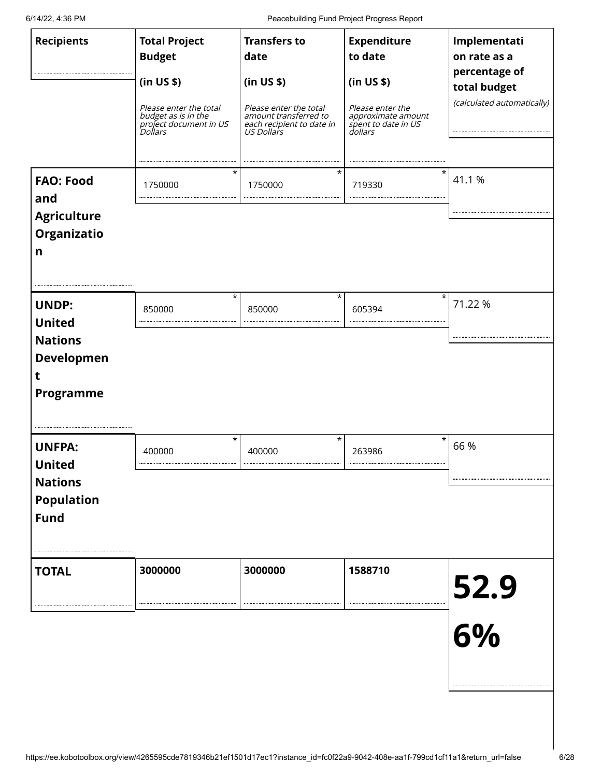| <b>Recipients</b>                                                                    | <b>Total Project</b><br><b>Budget</b><br>(in US \$)<br>Please enter the total<br>budget as is in the<br>project document in US<br>Dollars | <b>Transfers to</b><br>date<br>(in US \$)<br>Please enter the total<br>amount transferred to<br>each recipient to date in<br>US Dollars | <b>Expenditure</b><br>to date<br>(in US \$)<br>Please enter the<br>approximate amount<br>spent to date in US<br>dollars | Implementati<br>on rate as a<br>percentage of<br>total budget<br>(calculated automatically) |
|--------------------------------------------------------------------------------------|-------------------------------------------------------------------------------------------------------------------------------------------|-----------------------------------------------------------------------------------------------------------------------------------------|-------------------------------------------------------------------------------------------------------------------------|---------------------------------------------------------------------------------------------|
| <b>FAO: Food</b><br>and<br><b>Agriculture</b><br>Organizatio<br>n                    | $^\star$<br>1750000                                                                                                                       | $^\star$<br>1750000                                                                                                                     | 719330                                                                                                                  | $\star$<br>41.1 %                                                                           |
| <b>UNDP:</b><br><b>United</b><br><b>Nations</b><br><b>Developmen</b><br>Programme    | $\star$<br>850000                                                                                                                         | $^\star$<br>850000                                                                                                                      | $\star$<br>605394                                                                                                       | 71.22 %                                                                                     |
| <b>UNFPA:</b><br><b>United</b><br><b>Nations</b><br><b>Population</b><br><b>Fund</b> | $^\star$<br>400000                                                                                                                        | $^\star$<br>400000                                                                                                                      | 263986                                                                                                                  | $\star$<br>66 %                                                                             |
| <b>TOTAL</b>                                                                         | 3000000                                                                                                                                   | 3000000                                                                                                                                 | 1588710                                                                                                                 | 52.9<br>6%                                                                                  |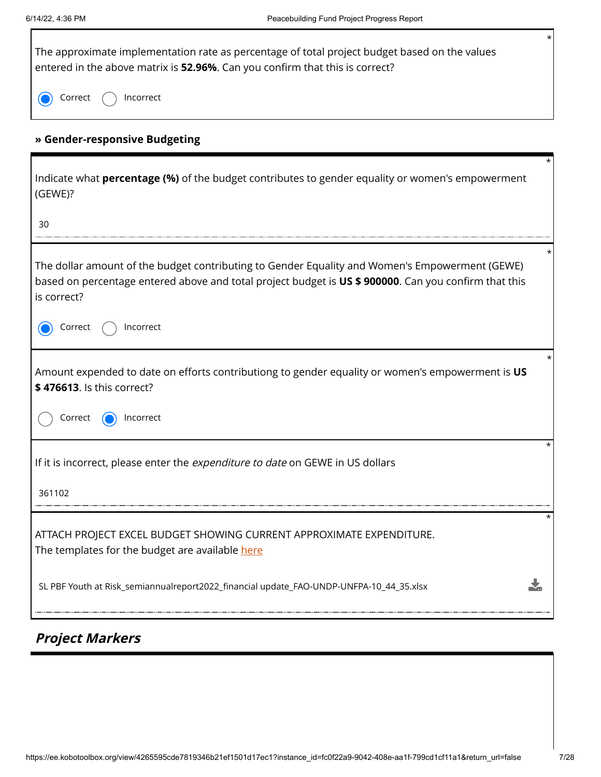$\overline{\phantom{a}}$ 

| $^\star$<br>The approximate implementation rate as percentage of total project budget based on the values<br>entered in the above matrix is 52.96%. Can you confirm that this is correct?                              |
|------------------------------------------------------------------------------------------------------------------------------------------------------------------------------------------------------------------------|
| Incorrect<br>Correct                                                                                                                                                                                                   |
| » Gender-responsive Budgeting                                                                                                                                                                                          |
| *<br>Indicate what <b>percentage (%)</b> of the budget contributes to gender equality or women's empowerment<br>(GEWE)?                                                                                                |
| 30                                                                                                                                                                                                                     |
| The dollar amount of the budget contributing to Gender Equality and Women's Empowerment (GEWE)<br>based on percentage entered above and total project budget is US \$ 900000. Can you confirm that this<br>is correct? |
| Incorrect<br>Correct                                                                                                                                                                                                   |
| Amount expended to date on efforts contributiong to gender equality or women's empowerment is US<br>\$476613. Is this correct?                                                                                         |
| Correct<br>Incorrect                                                                                                                                                                                                   |
| If it is incorrect, please enter the expenditure to date on GEWE in US dollars                                                                                                                                         |
| 361102                                                                                                                                                                                                                 |
| ATTACH PROJECT EXCEL BUDGET SHOWING CURRENT APPROXIMATE EXPENDITURE.<br>The templates for the budget are available here                                                                                                |
| SL PBF Youth at Risk_semiannualreport2022_financial update_FAO-UNDP-UNFPA-10_44_35.xlsx                                                                                                                                |

# **Project Markers**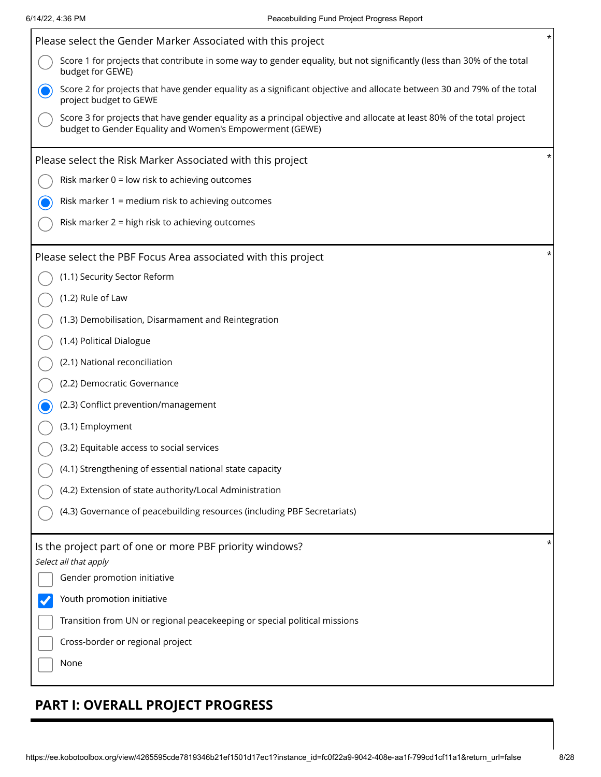| Please select the Gender Marker Associated with this project                                                                                                                       | $^\star$ |
|------------------------------------------------------------------------------------------------------------------------------------------------------------------------------------|----------|
| Score 1 for projects that contribute in some way to gender equality, but not significantly (less than 30% of the total<br>budget for GEWE)                                         |          |
| Score 2 for projects that have gender equality as a significant objective and allocate between 30 and 79% of the total<br>project budget to GEWE                                   |          |
| Score 3 for projects that have gender equality as a principal objective and allocate at least 80% of the total project<br>budget to Gender Equality and Women's Empowerment (GEWE) |          |
| Please select the Risk Marker Associated with this project                                                                                                                         | *        |
| Risk marker $0 =$ low risk to achieving outcomes                                                                                                                                   |          |
| Risk marker 1 = medium risk to achieving outcomes                                                                                                                                  |          |
| Risk marker 2 = high risk to achieving outcomes                                                                                                                                    |          |
| Please select the PBF Focus Area associated with this project                                                                                                                      | $^\star$ |
| (1.1) Security Sector Reform                                                                                                                                                       |          |
| (1.2) Rule of Law                                                                                                                                                                  |          |
| (1.3) Demobilisation, Disarmament and Reintegration                                                                                                                                |          |
| (1.4) Political Dialogue                                                                                                                                                           |          |
| (2.1) National reconciliation                                                                                                                                                      |          |
| (2.2) Democratic Governance                                                                                                                                                        |          |
| (2.3) Conflict prevention/management                                                                                                                                               |          |
| (3.1) Employment                                                                                                                                                                   |          |
| (3.2) Equitable access to social services                                                                                                                                          |          |
| (4.1) Strengthening of essential national state capacity                                                                                                                           |          |
| (4.2) Extension of state authority/Local Administration                                                                                                                            |          |
| (4.3) Governance of peacebuilding resources (including PBF Secretariats)                                                                                                           |          |
| Is the project part of one or more PBF priority windows?                                                                                                                           | *        |
| Select all that apply<br>Gender promotion initiative                                                                                                                               |          |
| Youth promotion initiative                                                                                                                                                         |          |
| Transition from UN or regional peacekeeping or special political missions                                                                                                          |          |
| Cross-border or regional project                                                                                                                                                   |          |
| None                                                                                                                                                                               |          |
|                                                                                                                                                                                    |          |

# **PART I: OVERALL PROJECT PROGRESS**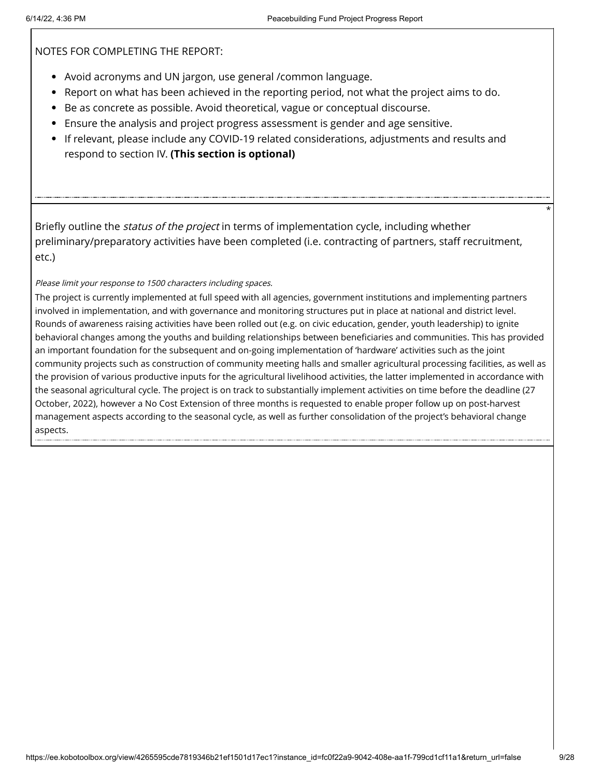NOTES FOR COMPLETING THE REPORT:

- Avoid acronyms and UN jargon, use general /common language.
- Report on what has been achieved in the reporting period, not what the project aims to do.
- Be as concrete as possible. Avoid theoretical, vague or conceptual discourse.
- Ensure the analysis and project progress assessment is gender and age sensitive.
- If relevant, please include any COVID-19 related considerations, adjustments and results and respond to section IV. **(This section is optional)**

Briefly outline the *status of the project* in terms of implementation cycle, including whether preliminary/preparatory activities have been completed (i.e. contracting of partners, staff recruitment, etc.)

Please limit your response to 1500 characters including spaces.

The project is currently implemented at full speed with all agencies, government institutions and implementing partners involved in implementation, and with governance and monitoring structures put in place at national and district level. Rounds of awareness raising activities have been rolled out (e.g. on civic education, gender, youth leadership) to ignite behavioral changes among the youths and building relationships between beneficiaries and communities. This has provided an important foundation for the subsequent and on-going implementation of 'hardware' activities such as the joint community projects such as construction of community meeting halls and smaller agricultural processing facilities, as well as the provision of various productive inputs for the agricultural livelihood activities, the latter implemented in accordance with the seasonal agricultural cycle. The project is on track to substantially implement activities on time before the deadline (27 October, 2022), however a No Cost Extension of three months is requested to enable proper follow up on post-harvest management aspects according to the seasonal cycle, as well as further consolidation of the project's behavioral change aspects.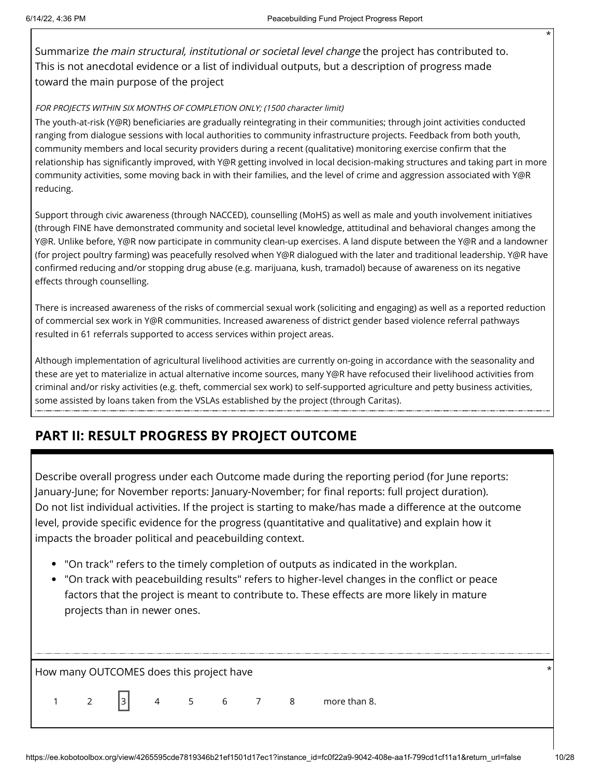Summarize the main structural, institutional or societal level change the project has contributed to. This is not anecdotal evidence or a list of individual outputs, but a description of progress made toward the main purpose of the project

### FOR PROJECTS WITHIN SIX MONTHS OF COMPLETION ONLY; (1500 character limit)

The youth-at-risk (Y@R) beneficiaries are gradually reintegrating in their communities; through joint activities conducted ranging from dialogue sessions with local authorities to community infrastructure projects. Feedback from both youth, community members and local security providers during a recent (qualitative) monitoring exercise confirm that the relationship has significantly improved, with Y@R getting involved in local decision-making structures and taking part in more community activities, some moving back in with their families, and the level of crime and aggression associated with Y@R reducing.

Support through civic awareness (through NACCED), counselling (MoHS) as well as male and youth involvement initiatives (through FINE have demonstrated community and societal level knowledge, attitudinal and behavioral changes among the Y@R. Unlike before, Y@R now participate in community clean-up exercises. A land dispute between the Y@R and a landowner (for project poultry farming) was peacefully resolved when Y@R dialogued with the later and traditional leadership. Y@R have confirmed reducing and/or stopping drug abuse (e.g. marijuana, kush, tramadol) because of awareness on its negative effects through counselling.

There is increased awareness of the risks of commercial sexual work (soliciting and engaging) as well as a reported reduction of commercial sex work in Y@R communities. Increased awareness of district gender based violence referral pathways resulted in 61 referrals supported to access services within project areas.

Although implementation of agricultural livelihood activities are currently on-going in accordance with the seasonality and these are yet to materialize in actual alternative income sources, many Y@R have refocused their livelihood activities from criminal and/or risky activities (e.g. theft, commercial sex work) to self-supported agriculture and petty business activities, some assisted by loans taken from the VSLAs established by the project (through Caritas).

# **PART II: RESULT PROGRESS BY PROJECT OUTCOME**

Describe overall progress under each Outcome made during the reporting period (for June reports: January-June; for November reports: January-November; for final reports: full project duration). Do not list individual activities. If the project is starting to make/has made a difference at the outcome level, provide specific evidence for the progress (quantitative and qualitative) and explain how it impacts the broader political and peacebuilding context.

- "On track" refers to the timely completion of outputs as indicated in the workplan.
- "On track with peacebuilding results" refers to higher-level changes in the conflict or peace factors that the project is meant to contribute to. These effects are more likely in mature projects than in newer ones.

| How many OUTCOMES does this project have |              |   |  |           |  |  | * |              |  |  |
|------------------------------------------|--------------|---|--|-----------|--|--|---|--------------|--|--|
|                                          | $1 \qquad 2$ | 3 |  | 4 5 6 7 8 |  |  |   | more than 8. |  |  |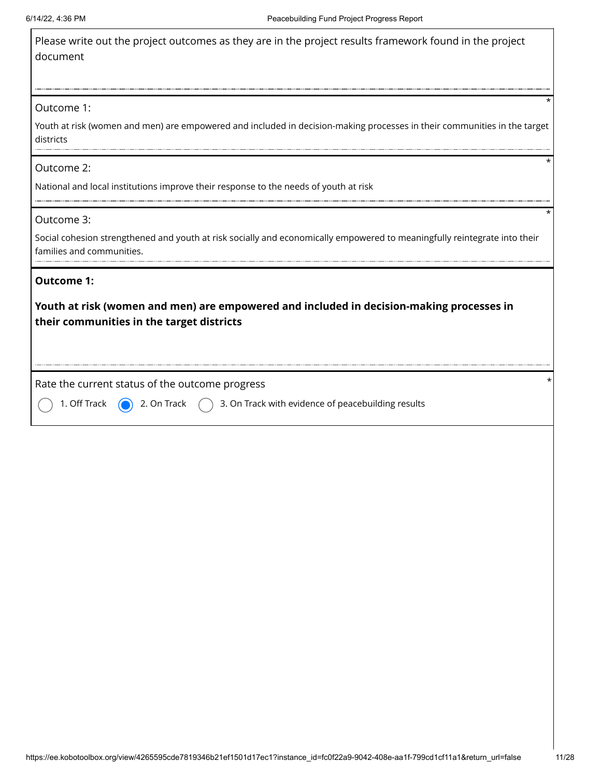| Please write out the project outcomes as they are in the project results framework found in the project |
|---------------------------------------------------------------------------------------------------------|
| document                                                                                                |

#### Outcome 1:

Youth at risk (women and men) are empowered and included in decision-making processes in their communities in the target districts

### Outcome 2:

National and local institutions improve their response to the needs of youth at risk

#### Outcome 3:

Social cohesion strengthened and youth at risk socially and economically empowered to meaningfully reintegrate into their families and communities.

### **Outcome 1:**

**Youth at risk (women and men) are empowered and included in decision-making processes in their communities in the target districts**

Rate the current status of the outcome progress \*

Off Track  $\bigcirc$  2. On Track  $\bigcirc$  3. On Track with evidence of peacebuilding results

\*

\*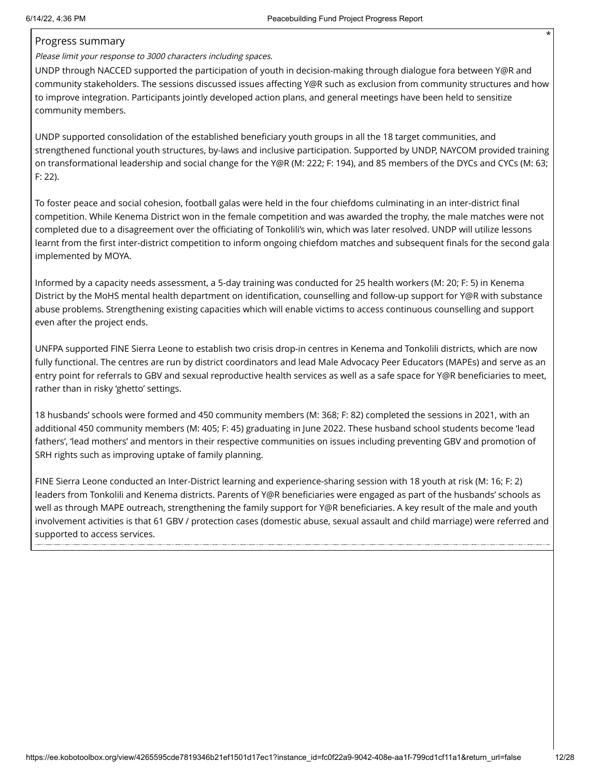### Progress summary

Please limit your response to 3000 characters including spaces.

UNDP through NACCED supported the participation of youth in decision-making through dialogue fora between Y@R and community stakeholders. The sessions discussed issues affecting Y@R such as exclusion from community structures and how to improve integration. Participants jointly developed action plans, and general meetings have been held to sensitize community members.

UNDP supported consolidation of the established beneficiary youth groups in all the 18 target communities, and strengthened functional youth structures, by-laws and inclusive participation. Supported by UNDP, NAYCOM provided training on transformational leadership and social change for the Y@R (M: 222; F: 194), and 85 members of the DYCs and CYCs (M: 63; F: 22).

To foster peace and social cohesion, football galas were held in the four chiefdoms culminating in an inter-district final competition. While Kenema District won in the female competition and was awarded the trophy, the male matches were not completed due to a disagreement over the officiating of Tonkolili's win, which was later resolved. UNDP will utilize lessons learnt from the first inter-district competition to inform ongoing chiefdom matches and subsequent finals for the second gala implemented by MOYA.

Informed by a capacity needs assessment, a 5-day training was conducted for 25 health workers (M: 20; F: 5) in Kenema District by the MoHS mental health department on identification, counselling and follow-up support for Y@R with substance abuse problems. Strengthening existing capacities which will enable victims to access continuous counselling and support even after the project ends.

UNFPA supported FINE Sierra Leone to establish two crisis drop-in centres in Kenema and Tonkolili districts, which are now fully functional. The centres are run by district coordinators and lead Male Advocacy Peer Educators (MAPEs) and serve as an entry point for referrals to GBV and sexual reproductive health services as well as a safe space for Y@R beneficiaries to meet, rather than in risky 'ghetto' settings.

18 husbands' schools were formed and 450 community members (M: 368; F: 82) completed the sessions in 2021, with an additional 450 community members (M: 405; F: 45) graduating in June 2022. These husband school students become 'lead fathers', 'lead mothers' and mentors in their respective communities on issues including preventing GBV and promotion of SRH rights such as improving uptake of family planning.

FINE Sierra Leone conducted an Inter-District learning and experience-sharing session with 18 youth at risk (M: 16; F: 2) leaders from Tonkolili and Kenema districts. Parents of Y@R beneficiaries were engaged as part of the husbands' schools as well as through MAPE outreach, strengthening the family support for Y@R beneficiaries. A key result of the male and youth involvement activities is that 61 GBV / protection cases (domestic abuse, sexual assault and child marriage) were referred and supported to access services.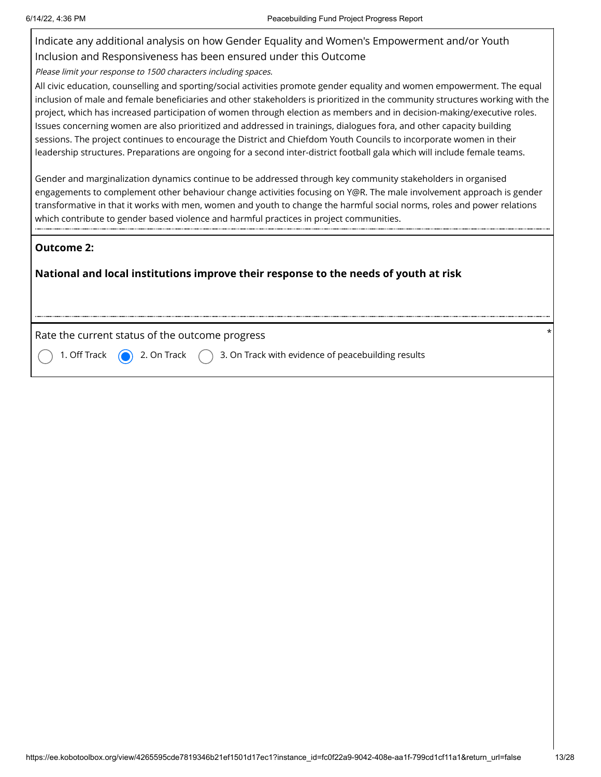Г

| Indicate any additional analysis on how Gender Equality and Women's Empowerment and/or Youth                                                                                                                                                                                                                                                                                                                                                                                                                                                                                                                                                                                                                                                                      |
|-------------------------------------------------------------------------------------------------------------------------------------------------------------------------------------------------------------------------------------------------------------------------------------------------------------------------------------------------------------------------------------------------------------------------------------------------------------------------------------------------------------------------------------------------------------------------------------------------------------------------------------------------------------------------------------------------------------------------------------------------------------------|
| Inclusion and Responsiveness has been ensured under this Outcome                                                                                                                                                                                                                                                                                                                                                                                                                                                                                                                                                                                                                                                                                                  |
| Please limit your response to 1500 characters including spaces.                                                                                                                                                                                                                                                                                                                                                                                                                                                                                                                                                                                                                                                                                                   |
| All civic education, counselling and sporting/social activities promote gender equality and women empowerment. The equal<br>inclusion of male and female beneficiaries and other stakeholders is prioritized in the community structures working with the<br>project, which has increased participation of women through election as members and in decision-making/executive roles.<br>Issues concerning women are also prioritized and addressed in trainings, dialogues fora, and other capacity building<br>sessions. The project continues to encourage the District and Chiefdom Youth Councils to incorporate women in their<br>leadership structures. Preparations are ongoing for a second inter-district football gala which will include female teams. |
| Gender and marginalization dynamics continue to be addressed through key community stakeholders in organised<br>engagements to complement other behaviour change activities focusing on Y@R. The male involvement approach is gender<br>transformative in that it works with men, women and youth to change the harmful social norms, roles and power relations<br>which contribute to gender based violence and harmful practices in project communities.                                                                                                                                                                                                                                                                                                        |
| <b>Outcome 2:</b>                                                                                                                                                                                                                                                                                                                                                                                                                                                                                                                                                                                                                                                                                                                                                 |
| National and local institutions improve their response to the needs of youth at risk                                                                                                                                                                                                                                                                                                                                                                                                                                                                                                                                                                                                                                                                              |
| $^\star$<br>Rate the current status of the outcome progress                                                                                                                                                                                                                                                                                                                                                                                                                                                                                                                                                                                                                                                                                                       |
| 3. On Track with evidence of peacebuilding results<br>1. Off Track<br>2. On Track                                                                                                                                                                                                                                                                                                                                                                                                                                                                                                                                                                                                                                                                                 |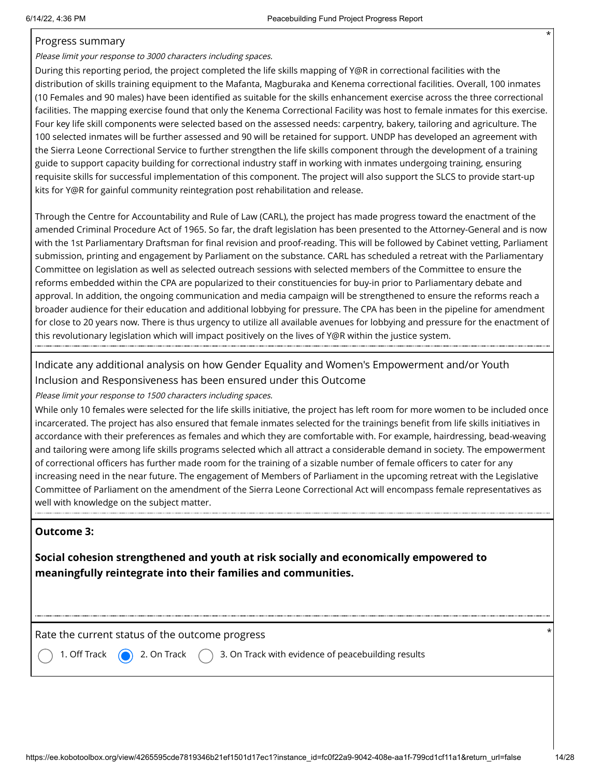### Progress summary

Please limit your response to 3000 characters including spaces.

During this reporting period, the project completed the life skills mapping of Y@R in correctional facilities with the distribution of skills training equipment to the Mafanta, Magburaka and Kenema correctional facilities. Overall, 100 inmates (10 Females and 90 males) have been identified as suitable for the skills enhancement exercise across the three correctional facilities. The mapping exercise found that only the Kenema Correctional Facility was host to female inmates for this exercise. Four key life skill components were selected based on the assessed needs: carpentry, bakery, tailoring and agriculture. The 100 selected inmates will be further assessed and 90 will be retained for support. UNDP has developed an agreement with the Sierra Leone Correctional Service to further strengthen the life skills component through the development of a training guide to support capacity building for correctional industry staff in working with inmates undergoing training, ensuring requisite skills for successful implementation of this component. The project will also support the SLCS to provide start-up kits for Y@R for gainful community reintegration post rehabilitation and release.

Through the Centre for Accountability and Rule of Law (CARL), the project has made progress toward the enactment of the amended Criminal Procedure Act of 1965. So far, the draft legislation has been presented to the Attorney-General and is now with the 1st Parliamentary Draftsman for final revision and proof-reading. This will be followed by Cabinet vetting, Parliament submission, printing and engagement by Parliament on the substance. CARL has scheduled a retreat with the Parliamentary Committee on legislation as well as selected outreach sessions with selected members of the Committee to ensure the reforms embedded within the CPA are popularized to their constituencies for buy-in prior to Parliamentary debate and approval. In addition, the ongoing communication and media campaign will be strengthened to ensure the reforms reach a broader audience for their education and additional lobbying for pressure. The CPA has been in the pipeline for amendment for close to 20 years now. There is thus urgency to utilize all available avenues for lobbying and pressure for the enactment of this revolutionary legislation which will impact positively on the lives of Y@R within the justice system.

Indicate any additional analysis on how Gender Equality and Women's Empowerment and/or Youth Inclusion and Responsiveness has been ensured under this Outcome

Please limit your response to 1500 characters including spaces.

While only 10 females were selected for the life skills initiative, the project has left room for more women to be included once incarcerated. The project has also ensured that female inmates selected for the trainings benefit from life skills initiatives in accordance with their preferences as females and which they are comfortable with. For example, hairdressing, bead-weaving and tailoring were among life skills programs selected which all attract a considerable demand in society. The empowerment of correctional officers has further made room for the training of a sizable number of female officers to cater for any increasing need in the near future. The engagement of Members of Parliament in the upcoming retreat with the Legislative Committee of Parliament on the amendment of the Sierra Leone Correctional Act will encompass female representatives as well with knowledge on the subject matter.

### **Outcome 3:**

**Social cohesion strengthened and youth at risk socially and economically empowered to meaningfully reintegrate into their families and communities.**

Rate the current status of the outcome progress \*

1. Off Track  $\bigcirc$  2. On Track  $\bigcirc$  3. On Track with evidence of peacebuilding results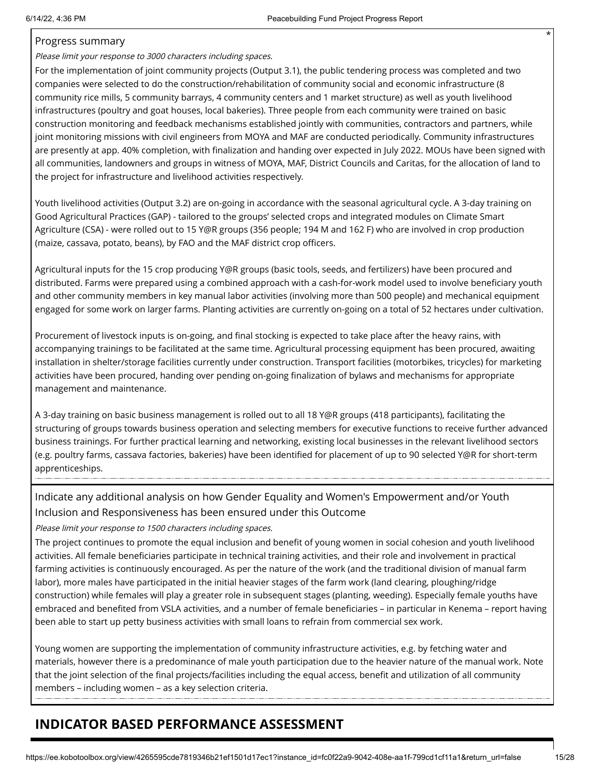### Progress summary

Please limit your response to 3000 characters including spaces.

For the implementation of joint community projects (Output 3.1), the public tendering process was completed and two companies were selected to do the construction/rehabilitation of community social and economic infrastructure (8 community rice mills, 5 community barrays, 4 community centers and 1 market structure) as well as youth livelihood infrastructures (poultry and goat houses, local bakeries). Three people from each community were trained on basic construction monitoring and feedback mechanisms established jointly with communities, contractors and partners, while joint monitoring missions with civil engineers from MOYA and MAF are conducted periodically. Community infrastructures are presently at app. 40% completion, with finalization and handing over expected in July 2022. MOUs have been signed with all communities, landowners and groups in witness of MOYA, MAF, District Councils and Caritas, for the allocation of land to the project for infrastructure and livelihood activities respectively.

Youth livelihood activities (Output 3.2) are on-going in accordance with the seasonal agricultural cycle. A 3-day training on Good Agricultural Practices (GAP) - tailored to the groups' selected crops and integrated modules on Climate Smart Agriculture (CSA) - were rolled out to 15 Y@R groups (356 people; 194 M and 162 F) who are involved in crop production (maize, cassava, potato, beans), by FAO and the MAF district crop officers.

Agricultural inputs for the 15 crop producing Y@R groups (basic tools, seeds, and fertilizers) have been procured and distributed. Farms were prepared using a combined approach with a cash-for-work model used to involve beneficiary youth and other community members in key manual labor activities (involving more than 500 people) and mechanical equipment engaged for some work on larger farms. Planting activities are currently on-going on a total of 52 hectares under cultivation.

Procurement of livestock inputs is on-going, and final stocking is expected to take place after the heavy rains, with accompanying trainings to be facilitated at the same time. Agricultural processing equipment has been procured, awaiting installation in shelter/storage facilities currently under construction. Transport facilities (motorbikes, tricycles) for marketing activities have been procured, handing over pending on-going finalization of bylaws and mechanisms for appropriate management and maintenance.

A 3-day training on basic business management is rolled out to all 18 Y@R groups (418 participants), facilitating the structuring of groups towards business operation and selecting members for executive functions to receive further advanced business trainings. For further practical learning and networking, existing local businesses in the relevant livelihood sectors (e.g. poultry farms, cassava factories, bakeries) have been identified for placement of up to 90 selected Y@R for short-term apprenticeships.

Indicate any additional analysis on how Gender Equality and Women's Empowerment and/or Youth Inclusion and Responsiveness has been ensured under this Outcome

Please limit your response to 1500 characters including spaces.

The project continues to promote the equal inclusion and benefit of young women in social cohesion and youth livelihood activities. All female beneficiaries participate in technical training activities, and their role and involvement in practical farming activities is continuously encouraged. As per the nature of the work (and the traditional division of manual farm labor), more males have participated in the initial heavier stages of the farm work (land clearing, ploughing/ridge construction) while females will play a greater role in subsequent stages (planting, weeding). Especially female youths have embraced and benefited from VSLA activities, and a number of female beneficiaries – in particular in Kenema – report having been able to start up petty business activities with small loans to refrain from commercial sex work.

Young women are supporting the implementation of community infrastructure activities, e.g. by fetching water and materials, however there is a predominance of male youth participation due to the heavier nature of the manual work. Note that the joint selection of the final projects/facilities including the equal access, benefit and utilization of all community members – including women – as a key selection criteria.

# **INDICATOR BASED PERFORMANCE ASSESSMENT**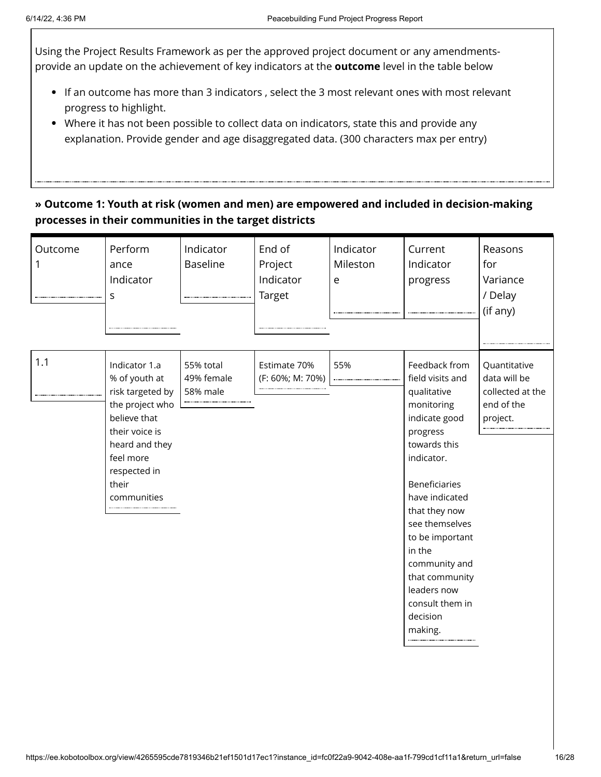Using the Project Results Framework as per the approved project document or any amendmentsprovide an update on the achievement of key indicators at the **outcome** level in the table below

- If an outcome has more than 3 indicators , select the 3 most relevant ones with most relevant progress to highlight.
- Where it has not been possible to collect data on indicators, state this and provide any explanation. Provide gender and age disaggregated data. (300 characters max per entry)

### **» Outcome 1: Youth at risk (women and men) are empowered and included in decision-making processes in their communities in the target districts**

| Outcome | Perform<br>ance<br>Indicator<br>S                                                                                                                                              | Indicator<br><b>Baseline</b>        | End of<br>Project<br>Indicator<br>Target | Indicator<br>Mileston<br>e | Current<br>Indicator<br>progress                                                                                                                                                                                                                                                                                                | Reasons<br>for<br>Variance<br>/ Delay<br>(if any)                          |
|---------|--------------------------------------------------------------------------------------------------------------------------------------------------------------------------------|-------------------------------------|------------------------------------------|----------------------------|---------------------------------------------------------------------------------------------------------------------------------------------------------------------------------------------------------------------------------------------------------------------------------------------------------------------------------|----------------------------------------------------------------------------|
| 1.1     | Indicator 1.a<br>% of youth at<br>risk targeted by<br>the project who<br>believe that<br>their voice is<br>heard and they<br>feel more<br>respected in<br>their<br>communities | 55% total<br>49% female<br>58% male | Estimate 70%<br>(F: 60%; M: 70%)         | 55%                        | Feedback from<br>field visits and<br>qualitative<br>monitoring<br>indicate good<br>progress<br>towards this<br>indicator.<br><b>Beneficiaries</b><br>have indicated<br>that they now<br>see themselves<br>to be important<br>in the<br>community and<br>that community<br>leaders now<br>consult them in<br>decision<br>making. | Quantitative<br>data will be<br>collected at the<br>end of the<br>project. |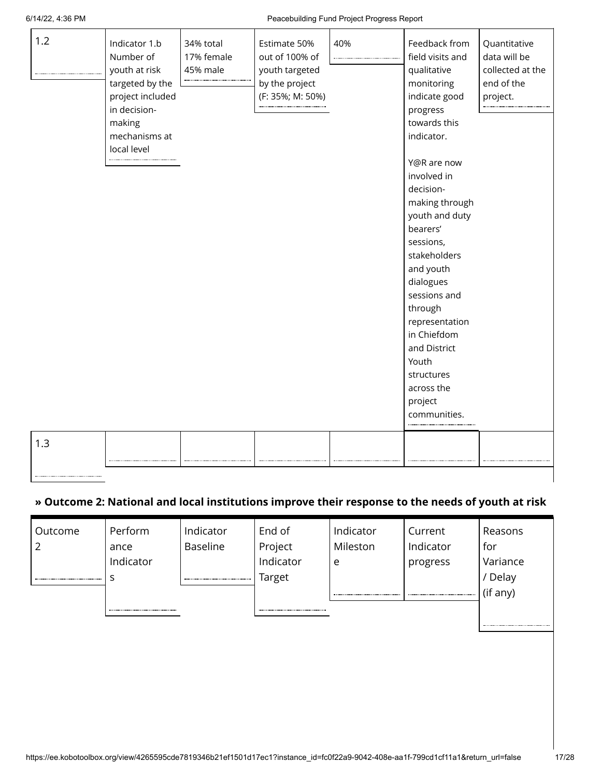| 1.2 | Indicator 1.b<br>Number of<br>youth at risk<br>targeted by the<br>project included<br>in decision-<br>making<br>mechanisms at<br>local level | 34% total<br>17% female<br>45% male | Estimate 50%<br>out of 100% of<br>youth targeted<br>by the project<br>(F: 35%; M: 50%) | 40% | Feedback from<br>field visits and<br>qualitative<br>monitoring<br>indicate good<br>progress<br>towards this<br>indicator.                                                                                                                                                                  | Quantitative<br>data will be<br>collected at the<br>end of the<br>project. |
|-----|----------------------------------------------------------------------------------------------------------------------------------------------|-------------------------------------|----------------------------------------------------------------------------------------|-----|--------------------------------------------------------------------------------------------------------------------------------------------------------------------------------------------------------------------------------------------------------------------------------------------|----------------------------------------------------------------------------|
|     |                                                                                                                                              |                                     |                                                                                        |     | Y@R are now<br>involved in<br>decision-<br>making through<br>youth and duty<br>bearers'<br>sessions,<br>stakeholders<br>and youth<br>dialogues<br>sessions and<br>through<br>representation<br>in Chiefdom<br>and District<br>Youth<br>structures<br>across the<br>project<br>communities. |                                                                            |
| 1.3 |                                                                                                                                              |                                     |                                                                                        |     |                                                                                                                                                                                                                                                                                            |                                                                            |

### **» Outcome 2: National and local institutions improve their response to the needs of youth at risk**

| Outcome | Perform   | Indicator       | End of    | Indicator | Current   | Reasons  |
|---------|-----------|-----------------|-----------|-----------|-----------|----------|
|         | ance      | <b>Baseline</b> | Project   | Mileston  | Indicator | for      |
|         | Indicator |                 | Indicator | e         | progress  | Variance |
|         |           |                 | Target    |           |           | / Delay  |
|         |           |                 |           |           |           | (if any) |
|         |           |                 |           |           |           |          |
|         |           |                 |           |           |           |          |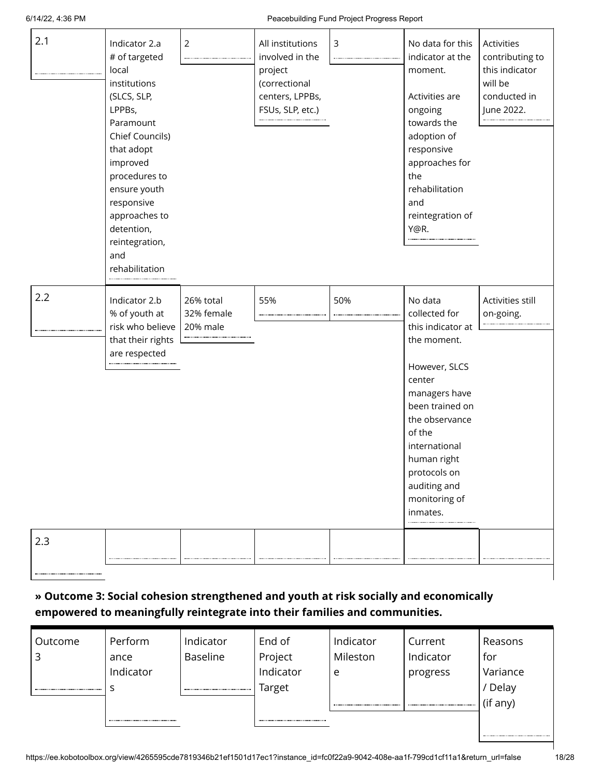#### 6/14/22, 4:36 PM Peacebuilding Fund Project Progress Report

| 2.1        | Indicator 2.a<br># of targeted<br>local<br>institutions<br>(SLCS, SLP,<br>LPPBs,<br>Paramount<br>Chief Councils)<br>that adopt<br>improved<br>procedures to<br>ensure youth<br>responsive<br>approaches to<br>detention,<br>reintegration,<br>and<br>rehabilitation | $\overline{2}$                      | All institutions<br>involved in the<br>project<br>(correctional<br>centers, LPPBs,<br>FSUs, SLP, etc.) | 3   | No data for this<br>indicator at the<br>moment.<br>Activities are<br>ongoing<br>towards the<br>adoption of<br>responsive<br>approaches for<br>the<br>rehabilitation<br>and<br>reintegration of<br>Y@R.                                               | Activities<br>contributing to<br>this indicator<br>will be<br>conducted in<br>June 2022. |
|------------|---------------------------------------------------------------------------------------------------------------------------------------------------------------------------------------------------------------------------------------------------------------------|-------------------------------------|--------------------------------------------------------------------------------------------------------|-----|------------------------------------------------------------------------------------------------------------------------------------------------------------------------------------------------------------------------------------------------------|------------------------------------------------------------------------------------------|
| 2.2<br>2.3 | Indicator 2.b<br>% of youth at<br>risk who believe<br>that their rights<br>are respected                                                                                                                                                                            | 26% total<br>32% female<br>20% male | 55%                                                                                                    | 50% | No data<br>collected for<br>this indicator at<br>the moment.<br>However, SLCS<br>center<br>managers have<br>been trained on<br>the observance<br>of the<br>international<br>human right<br>protocols on<br>auditing and<br>monitoring of<br>inmates. | Activities still<br>on-going.                                                            |
|            |                                                                                                                                                                                                                                                                     |                                     |                                                                                                        |     |                                                                                                                                                                                                                                                      |                                                                                          |

### **» Outcome 3: Social cohesion strengthened and youth at risk socially and economically empowered to meaningfully reintegrate into their families and communities.**

|                 |           |          | Current   | Reasons  |
|-----------------|-----------|----------|-----------|----------|
| <b>Baseline</b> | Project   | Mileston | Indicator | for      |
|                 | Indicator | e        | progress  | Variance |
|                 | Target    |          |           | / Delay  |
|                 |           |          |           | (if any) |
|                 |           |          |           |          |
|                 | Indicator |          |           |          |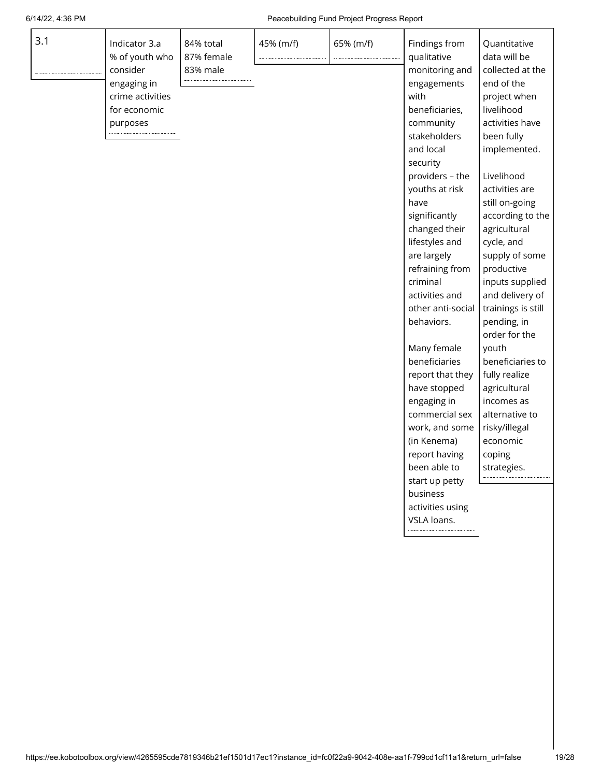| 3.1 | Indicator 3.a<br>% of youth who<br>consider<br>engaging in<br>crime activities<br>for economic<br>purposes | 84% total<br>87% female<br>83% male | 45% (m/f) | 65% (m/f) | Findings from<br>qualitative<br>monitoring and<br>engagements<br>with<br>beneficiaries,<br>community<br>stakeholders<br>and local<br>security<br>providers - the<br>youths at risk<br>have<br>significantly<br>changed their<br>lifestyles and<br>are largely<br>refraining from<br>criminal<br>activities and<br>other anti-social<br>behaviors.<br>Many female<br>beneficiaries<br>report that they<br>have stopped<br>engaging in<br>commercial sex<br>work, and some<br>(in Kenema)<br>report having<br>been able to<br>start up petty<br>business<br>activities using | Quantitative<br>data will be<br>collected at the<br>end of the<br>project when<br>livelihood<br>activities have<br>been fully<br>implemented.<br>Livelihood<br>activities are<br>still on-going<br>according to the<br>agricultural<br>cycle, and<br>supply of some<br>productive<br>inputs supplied<br>and delivery of<br>trainings is still<br>pending, in<br>order for the<br>youth<br>beneficiaries to<br>fully realize<br>agricultural<br>incomes as<br>alternative to<br>risky/illegal<br>economic<br>coping<br>strategies. |
|-----|------------------------------------------------------------------------------------------------------------|-------------------------------------|-----------|-----------|----------------------------------------------------------------------------------------------------------------------------------------------------------------------------------------------------------------------------------------------------------------------------------------------------------------------------------------------------------------------------------------------------------------------------------------------------------------------------------------------------------------------------------------------------------------------------|-----------------------------------------------------------------------------------------------------------------------------------------------------------------------------------------------------------------------------------------------------------------------------------------------------------------------------------------------------------------------------------------------------------------------------------------------------------------------------------------------------------------------------------|
|     |                                                                                                            |                                     |           |           | VSLA loans.                                                                                                                                                                                                                                                                                                                                                                                                                                                                                                                                                                |                                                                                                                                                                                                                                                                                                                                                                                                                                                                                                                                   |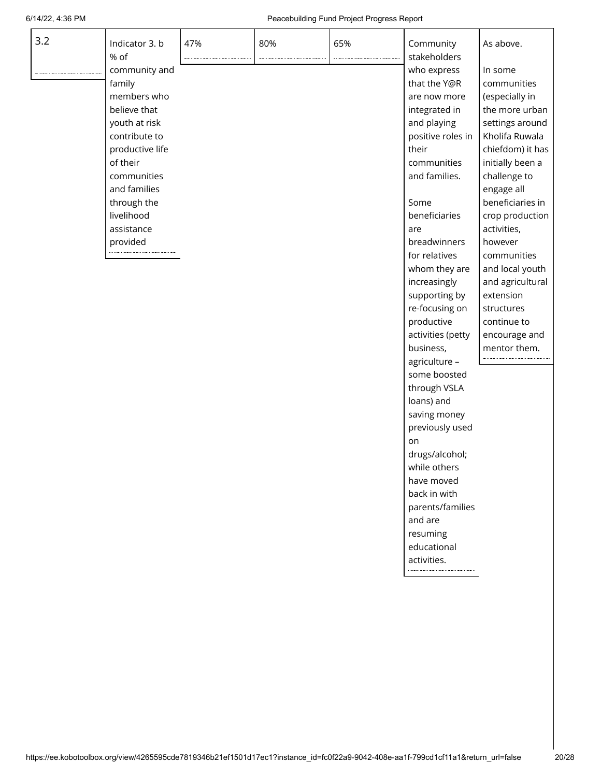while others have moved back in with parents/families

and are resuming educational activities.

| 3.2 | Indicator 3. b<br>% of<br>community and<br>family<br>members who<br>believe that<br>youth at risk<br>contribute to<br>productive life<br>of their<br>communities<br>and families<br>through the<br>livelihood<br>assistance<br>provided | 47% | 80% | 65% | Community<br>stakeholders<br>who express<br>that the Y@R<br>are now more<br>integrated in<br>and playing<br>positive roles in<br>their<br>communities<br>and families.<br>Some<br>beneficiaries<br>are<br>breadwinners<br>for relatives<br>whom they are<br>increasingly | As above.<br>In some<br>communities<br>(especially in<br>the more urban<br>settings around<br>Kholifa Ruwala<br>chiefdom) it has<br>initially been a<br>challenge to<br>engage all<br>beneficiaries in<br>crop production<br>activities,<br>however<br>communities<br>and local youth<br>and agricultural |
|-----|-----------------------------------------------------------------------------------------------------------------------------------------------------------------------------------------------------------------------------------------|-----|-----|-----|--------------------------------------------------------------------------------------------------------------------------------------------------------------------------------------------------------------------------------------------------------------------------|-----------------------------------------------------------------------------------------------------------------------------------------------------------------------------------------------------------------------------------------------------------------------------------------------------------|
|     |                                                                                                                                                                                                                                         |     |     |     |                                                                                                                                                                                                                                                                          |                                                                                                                                                                                                                                                                                                           |
|     |                                                                                                                                                                                                                                         |     |     |     |                                                                                                                                                                                                                                                                          |                                                                                                                                                                                                                                                                                                           |
|     |                                                                                                                                                                                                                                         |     |     |     |                                                                                                                                                                                                                                                                          |                                                                                                                                                                                                                                                                                                           |
|     |                                                                                                                                                                                                                                         |     |     |     |                                                                                                                                                                                                                                                                          |                                                                                                                                                                                                                                                                                                           |
|     |                                                                                                                                                                                                                                         |     |     |     |                                                                                                                                                                                                                                                                          |                                                                                                                                                                                                                                                                                                           |
|     |                                                                                                                                                                                                                                         |     |     |     |                                                                                                                                                                                                                                                                          |                                                                                                                                                                                                                                                                                                           |
|     |                                                                                                                                                                                                                                         |     |     |     |                                                                                                                                                                                                                                                                          |                                                                                                                                                                                                                                                                                                           |
|     |                                                                                                                                                                                                                                         |     |     |     |                                                                                                                                                                                                                                                                          |                                                                                                                                                                                                                                                                                                           |
|     |                                                                                                                                                                                                                                         |     |     |     |                                                                                                                                                                                                                                                                          |                                                                                                                                                                                                                                                                                                           |
|     |                                                                                                                                                                                                                                         |     |     |     |                                                                                                                                                                                                                                                                          |                                                                                                                                                                                                                                                                                                           |
|     |                                                                                                                                                                                                                                         |     |     |     | supporting by                                                                                                                                                                                                                                                            | extension                                                                                                                                                                                                                                                                                                 |
|     |                                                                                                                                                                                                                                         |     |     |     | re-focusing on                                                                                                                                                                                                                                                           | structures                                                                                                                                                                                                                                                                                                |
|     |                                                                                                                                                                                                                                         |     |     |     | productive                                                                                                                                                                                                                                                               | continue to                                                                                                                                                                                                                                                                                               |
|     |                                                                                                                                                                                                                                         |     |     |     | activities (petty                                                                                                                                                                                                                                                        | encourage and                                                                                                                                                                                                                                                                                             |
|     |                                                                                                                                                                                                                                         |     |     |     | business,                                                                                                                                                                                                                                                                | mentor them.                                                                                                                                                                                                                                                                                              |
|     |                                                                                                                                                                                                                                         |     |     |     | agriculture -                                                                                                                                                                                                                                                            |                                                                                                                                                                                                                                                                                                           |
|     |                                                                                                                                                                                                                                         |     |     |     | some boosted                                                                                                                                                                                                                                                             |                                                                                                                                                                                                                                                                                                           |
|     |                                                                                                                                                                                                                                         |     |     |     | through VSLA                                                                                                                                                                                                                                                             |                                                                                                                                                                                                                                                                                                           |
|     |                                                                                                                                                                                                                                         |     |     |     | loans) and                                                                                                                                                                                                                                                               |                                                                                                                                                                                                                                                                                                           |
|     |                                                                                                                                                                                                                                         |     |     |     | saving money                                                                                                                                                                                                                                                             |                                                                                                                                                                                                                                                                                                           |
|     |                                                                                                                                                                                                                                         |     |     |     | previously used                                                                                                                                                                                                                                                          |                                                                                                                                                                                                                                                                                                           |
|     |                                                                                                                                                                                                                                         |     |     |     | on                                                                                                                                                                                                                                                                       |                                                                                                                                                                                                                                                                                                           |
|     |                                                                                                                                                                                                                                         |     |     |     | drugs/alcohol;                                                                                                                                                                                                                                                           |                                                                                                                                                                                                                                                                                                           |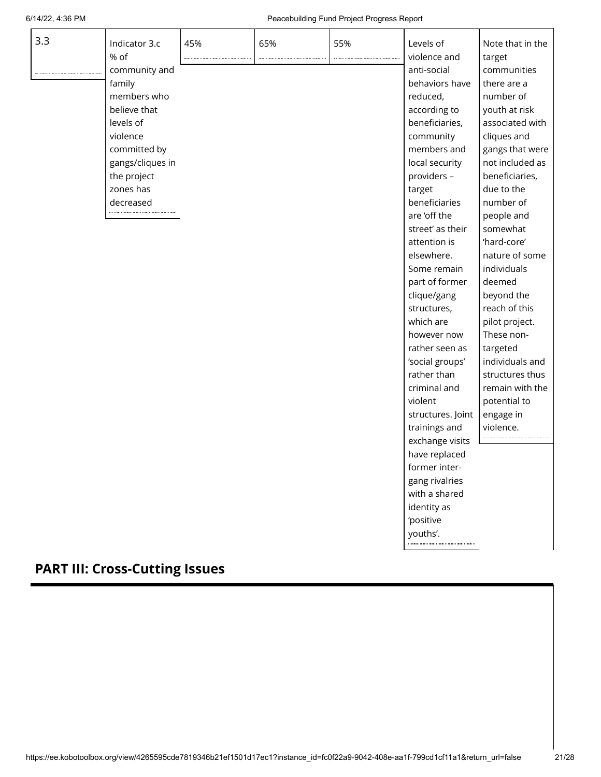exchange visits have replaced former intergang rivalries with a shared identity as 'positive youths'.

. . . . . . . . . . . . .

| 3.3 | Indicator 3.c    | 45% | 65% | 55% | Levels of         | Note that in the |
|-----|------------------|-----|-----|-----|-------------------|------------------|
|     | % of             |     |     |     | violence and      | target           |
|     | community and    |     |     |     | anti-social       | communities      |
|     | family           |     |     |     | behaviors have    | there are a      |
|     | members who      |     |     |     | reduced,          | number of        |
|     | believe that     |     |     |     | according to      | youth at risk    |
|     | levels of        |     |     |     | beneficiaries,    | associated with  |
|     | violence         |     |     |     | community         | cliques and      |
|     | committed by     |     |     |     | members and       | gangs that were  |
|     | gangs/cliques in |     |     |     | local security    | not included as  |
|     | the project      |     |     |     | providers -       | beneficiaries,   |
|     | zones has        |     |     |     | target            | due to the       |
|     | decreased        |     |     |     | beneficiaries     | number of        |
|     |                  |     |     |     | are 'off the      | people and       |
|     |                  |     |     |     | street' as their  | somewhat         |
|     |                  |     |     |     | attention is      | 'hard-core'      |
|     |                  |     |     |     | elsewhere.        | nature of some   |
|     |                  |     |     |     | Some remain       | individuals      |
|     |                  |     |     |     | part of former    | deemed           |
|     |                  |     |     |     | clique/gang       | beyond the       |
|     |                  |     |     |     | structures,       | reach of this    |
|     |                  |     |     |     | which are         | pilot project.   |
|     |                  |     |     |     | however now       | These non-       |
|     |                  |     |     |     | rather seen as    | targeted         |
|     |                  |     |     |     | 'social groups'   | individuals and  |
|     |                  |     |     |     | rather than       | structures thus  |
|     |                  |     |     |     | criminal and      | remain with the  |
|     |                  |     |     |     | violent           | potential to     |
|     |                  |     |     |     | structures. Joint | engage in        |
|     |                  |     |     |     | trainings and     | violence.        |

# **PART III: Cross-Cutting Issues**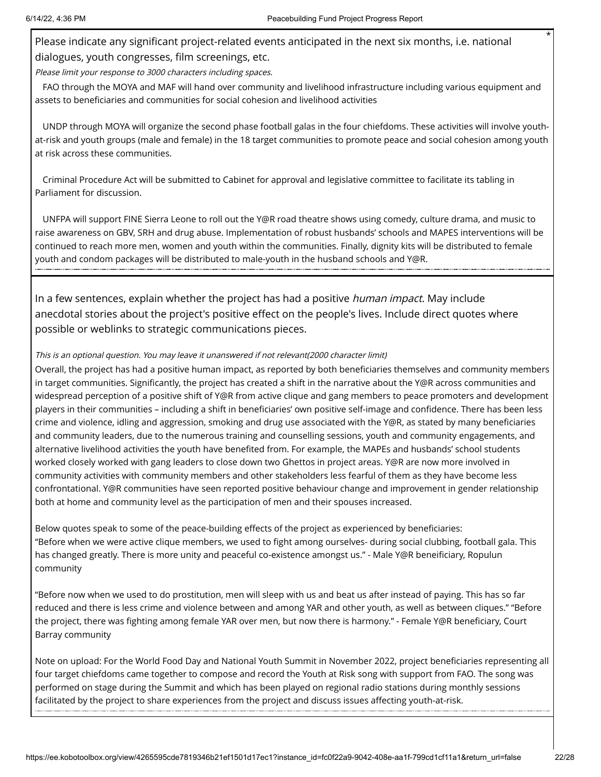Please indicate any significant project-related events anticipated in the next six months, i.e. national dialogues, youth congresses, film screenings, etc.

Please limit your response to 3000 characters including spaces.

FAO through the MOYA and MAF will hand over community and livelihood infrastructure including various equipment and assets to beneficiaries and communities for social cohesion and livelihood activities

UNDP through MOYA will organize the second phase football galas in the four chiefdoms. These activities will involve youthat-risk and youth groups (male and female) in the 18 target communities to promote peace and social cohesion among youth at risk across these communities.

Criminal Procedure Act will be submitted to Cabinet for approval and legislative committee to facilitate its tabling in Parliament for discussion.

UNFPA will support FINE Sierra Leone to roll out the Y@R road theatre shows using comedy, culture drama, and music to raise awareness on GBV, SRH and drug abuse. Implementation of robust husbands' schools and MAPES interventions will be continued to reach more men, women and youth within the communities. Finally, dignity kits will be distributed to female youth and condom packages will be distributed to male-youth in the husband schools and Y@R.

In a few sentences, explain whether the project has had a positive *human impact*. May include anecdotal stories about the project's positive effect on the people's lives. Include direct quotes where possible or weblinks to strategic communications pieces.

#### This is an optional question. You may leave it unanswered if not relevant(2000 character limit)

Overall, the project has had a positive human impact, as reported by both beneficiaries themselves and community members in target communities. Significantly, the project has created a shift in the narrative about the Y@R across communities and widespread perception of a positive shift of Y@R from active clique and gang members to peace promoters and development players in their communities – including a shift in beneficiaries' own positive self-image and confidence. There has been less crime and violence, idling and aggression, smoking and drug use associated with the Y@R, as stated by many beneficiaries and community leaders, due to the numerous training and counselling sessions, youth and community engagements, and alternative livelihood activities the youth have benefited from. For example, the MAPEs and husbands' school students worked closely worked with gang leaders to close down two Ghettos in project areas. Y@R are now more involved in community activities with community members and other stakeholders less fearful of them as they have become less confrontational. Y@R communities have seen reported positive behaviour change and improvement in gender relationship both at home and community level as the participation of men and their spouses increased.

Below quotes speak to some of the peace-building effects of the project as experienced by beneficiaries: "Before when we were active clique members, we used to fight among ourselves- during social clubbing, football gala. This has changed greatly. There is more unity and peaceful co-existence amongst us." - Male Y@R beneificiary, Ropulun community

"Before now when we used to do prostitution, men will sleep with us and beat us after instead of paying. This has so far reduced and there is less crime and violence between and among YAR and other youth, as well as between cliques." "Before the project, there was fighting among female YAR over men, but now there is harmony." - Female Y@R beneficiary, Court Barray community

Note on upload: For the World Food Day and National Youth Summit in November 2022, project beneficiaries representing all four target chiefdoms came together to compose and record the Youth at Risk song with support from FAO. The song was performed on stage during the Summit and which has been played on regional radio stations during monthly sessions facilitated by the project to share experiences from the project and discuss issues affecting youth-at-risk.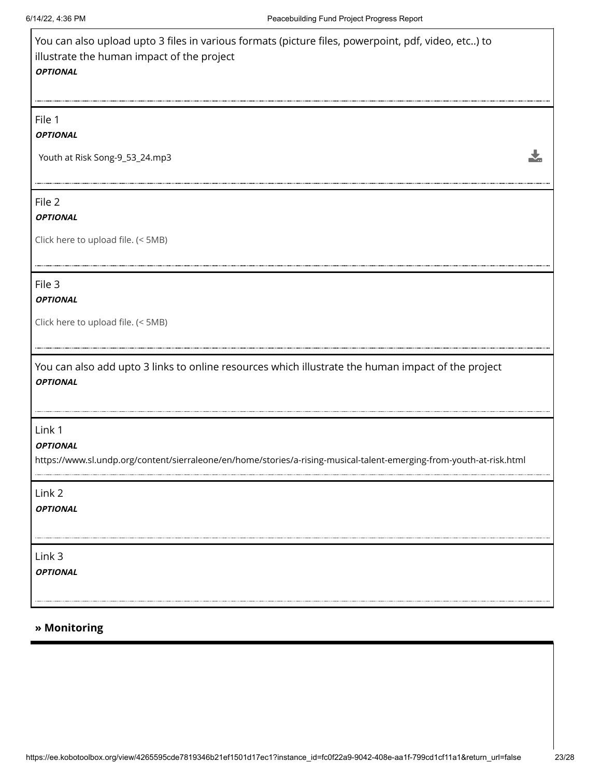$\Gamma$ 

| You can also upload upto 3 files in various formats (picture files, powerpoint, pdf, video, etc) to<br>illustrate the human impact of the project<br><b>OPTIONAL</b> |
|----------------------------------------------------------------------------------------------------------------------------------------------------------------------|
| File 1<br><b>OPTIONAL</b>                                                                                                                                            |
| Youth at Risk Song-9_53_24.mp3                                                                                                                                       |
| File 2<br><b>OPTIONAL</b><br>Click here to upload file. (< 5MB)                                                                                                      |
| File 3<br><b>OPTIONAL</b><br>Click here to upload file. (< 5MB)                                                                                                      |
| You can also add upto 3 links to online resources which illustrate the human impact of the project<br><b>OPTIONAL</b>                                                |
| Link 1<br><b>OPTIONAL</b><br>https://www.sl.undp.org/content/sierraleone/en/home/stories/a-rising-musical-talent-emerging-from-youth-at-risk.html                    |
| Link 2<br><b>OPTIONAL</b>                                                                                                                                            |
| Link 3<br><b>OPTIONAL</b>                                                                                                                                            |
| » Monitoring                                                                                                                                                         |

٦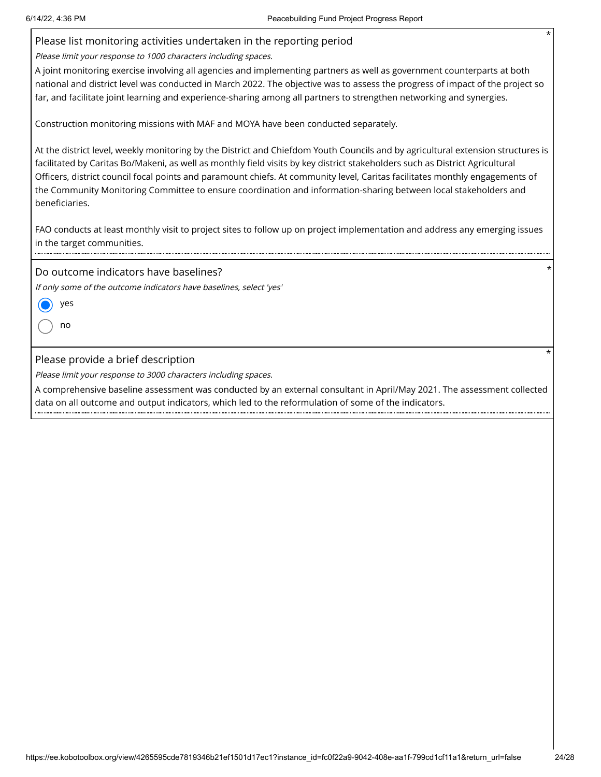|                                                                 | $^\star$<br>Please list monitoring activities undertaken in the reporting period                                                                                                                                                                                                                                                                                                                                                                                                                                     |
|-----------------------------------------------------------------|----------------------------------------------------------------------------------------------------------------------------------------------------------------------------------------------------------------------------------------------------------------------------------------------------------------------------------------------------------------------------------------------------------------------------------------------------------------------------------------------------------------------|
| Please limit your response to 1000 characters including spaces. |                                                                                                                                                                                                                                                                                                                                                                                                                                                                                                                      |
|                                                                 | A joint monitoring exercise involving all agencies and implementing partners as well as government counterparts at both<br>national and district level was conducted in March 2022. The objective was to assess the progress of impact of the project so<br>far, and facilitate joint learning and experience-sharing among all partners to strengthen networking and synergies.                                                                                                                                     |
|                                                                 | Construction monitoring missions with MAF and MOYA have been conducted separately.                                                                                                                                                                                                                                                                                                                                                                                                                                   |
| beneficiaries.                                                  | At the district level, weekly monitoring by the District and Chiefdom Youth Councils and by agricultural extension structures is<br>facilitated by Caritas Bo/Makeni, as well as monthly field visits by key district stakeholders such as District Agricultural<br>Officers, district council focal points and paramount chiefs. At community level, Caritas facilitates monthly engagements of<br>the Community Monitoring Committee to ensure coordination and information-sharing between local stakeholders and |
| in the target communities.                                      | FAO conducts at least monthly visit to project sites to follow up on project implementation and address any emerging issues                                                                                                                                                                                                                                                                                                                                                                                          |
| Do outcome indicators have baselines?                           |                                                                                                                                                                                                                                                                                                                                                                                                                                                                                                                      |
|                                                                 | If only some of the outcome indicators have baselines, select 'yes'                                                                                                                                                                                                                                                                                                                                                                                                                                                  |
| yes                                                             |                                                                                                                                                                                                                                                                                                                                                                                                                                                                                                                      |
| no                                                              |                                                                                                                                                                                                                                                                                                                                                                                                                                                                                                                      |
| Please provide a brief description                              |                                                                                                                                                                                                                                                                                                                                                                                                                                                                                                                      |
| Please limit your response to 3000 characters including spaces. |                                                                                                                                                                                                                                                                                                                                                                                                                                                                                                                      |
|                                                                 | A comprehensive baseline assessment was conducted by an external consultant in April/May 2021. The assessment collected<br>data on all outcome and output indicators, which led to the reformulation of some of the indicators.                                                                                                                                                                                                                                                                                      |
|                                                                 |                                                                                                                                                                                                                                                                                                                                                                                                                                                                                                                      |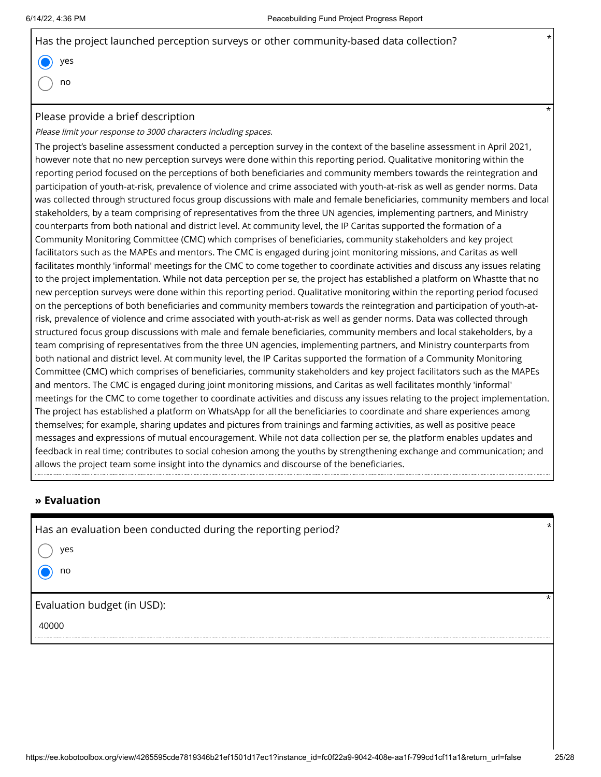| Has the project launched perception surveys or other community-based data collection? |  |
|---------------------------------------------------------------------------------------|--|
| $\bullet$ yes                                                                         |  |
| $\bigcap$ no                                                                          |  |

### Please provide a brief description

Please limit your response to 3000 characters including spaces.

The project's baseline assessment conducted a perception survey in the context of the baseline assessment in April 2021, however note that no new perception surveys were done within this reporting period. Qualitative monitoring within the reporting period focused on the perceptions of both beneficiaries and community members towards the reintegration and participation of youth-at-risk, prevalence of violence and crime associated with youth-at-risk as well as gender norms. Data was collected through structured focus group discussions with male and female beneficiaries, community members and local stakeholders, by a team comprising of representatives from the three UN agencies, implementing partners, and Ministry counterparts from both national and district level. At community level, the IP Caritas supported the formation of a Community Monitoring Committee (CMC) which comprises of beneficiaries, community stakeholders and key project facilitators such as the MAPEs and mentors. The CMC is engaged during joint monitoring missions, and Caritas as well facilitates monthly 'informal' meetings for the CMC to come together to coordinate activities and discuss any issues relating to the project implementation. While not data perception per se, the project has established a platform on Whastte that no new perception surveys were done within this reporting period. Qualitative monitoring within the reporting period focused on the perceptions of both beneficiaries and community members towards the reintegration and participation of youth-atrisk, prevalence of violence and crime associated with youth-at-risk as well as gender norms. Data was collected through structured focus group discussions with male and female beneficiaries, community members and local stakeholders, by a team comprising of representatives from the three UN agencies, implementing partners, and Ministry counterparts from both national and district level. At community level, the IP Caritas supported the formation of a Community Monitoring Committee (CMC) which comprises of beneficiaries, community stakeholders and key project facilitators such as the MAPEs and mentors. The CMC is engaged during joint monitoring missions, and Caritas as well facilitates monthly 'informal' meetings for the CMC to come together to coordinate activities and discuss any issues relating to the project implementation. The project has established a platform on WhatsApp for all the beneficiaries to coordinate and share experiences among themselves; for example, sharing updates and pictures from trainings and farming activities, as well as positive peace messages and expressions of mutual encouragement. While not data collection per se, the platform enables updates and feedback in real time; contributes to social cohesion among the youths by strengthening exchange and communication; and allows the project team some insight into the dynamics and discourse of the beneficiaries.

### **» Evaluation**

Has an evaluation been conducted during the reporting period? \*

yes

no

Evaluation budget (in USD):

40000

\*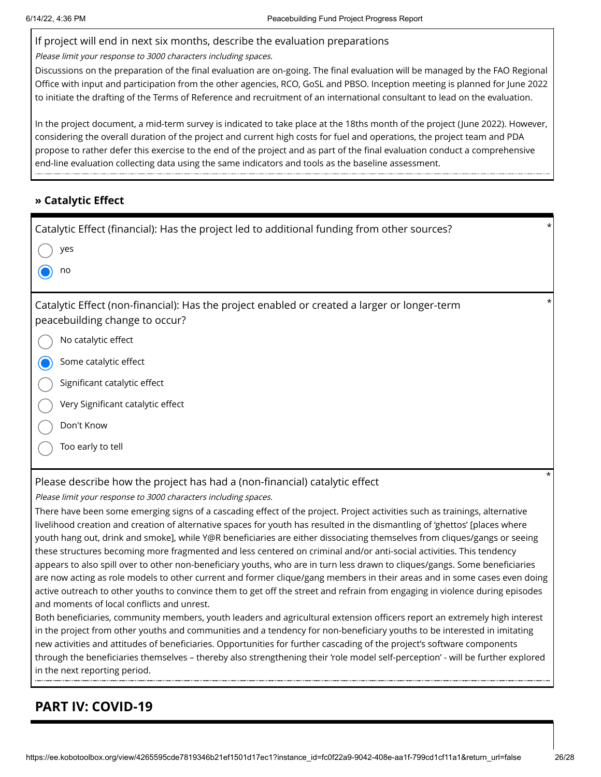#### If project will end in next six months, describe the evaluation preparations

Please limit your response to 3000 characters including spaces.

Discussions on the preparation of the final evaluation are on-going. The final evaluation will be managed by the FAO Regional Office with input and participation from the other agencies, RCO, GoSL and PBSO. Inception meeting is planned for June 2022 to initiate the drafting of the Terms of Reference and recruitment of an international consultant to lead on the evaluation.

In the project document, a mid-term survey is indicated to take place at the 18ths month of the project (June 2022). However, considering the overall duration of the project and current high costs for fuel and operations, the project team and PDA propose to rather defer this exercise to the end of the project and as part of the final evaluation conduct a comprehensive end-line evaluation collecting data using the same indicators and tools as the baseline assessment.

### **» Catalytic Effect**

| $\star$<br>Catalytic Effect (financial): Has the project led to additional funding from other sources?                                                                                                                                                    |
|-----------------------------------------------------------------------------------------------------------------------------------------------------------------------------------------------------------------------------------------------------------|
| yes                                                                                                                                                                                                                                                       |
| no                                                                                                                                                                                                                                                        |
| *<br>Catalytic Effect (non-financial): Has the project enabled or created a larger or longer-term<br>peacebuilding change to occur?                                                                                                                       |
| No catalytic effect                                                                                                                                                                                                                                       |
| Some catalytic effect                                                                                                                                                                                                                                     |
| Significant catalytic effect                                                                                                                                                                                                                              |
| Very Significant catalytic effect                                                                                                                                                                                                                         |
| Don't Know                                                                                                                                                                                                                                                |
| Too early to tell                                                                                                                                                                                                                                         |
| $^\star$<br>Please describe how the project has had a (non-financial) catalytic effect                                                                                                                                                                    |
| Please limit your response to 3000 characters including spaces.                                                                                                                                                                                           |
| There have been some emerging signs of a cascading effect of the project. Project activities such as trainings, alternative                                                                                                                               |
| livelihood creation and creation of alternative spaces for youth has resulted in the dismantling of 'ghettos' [places where                                                                                                                               |
| youth hang out, drink and smoke], while Y@R beneficiaries are either dissociating themselves from cliques/gangs or seeing                                                                                                                                 |
| these structures becoming more fragmented and less centered on criminal and/or anti-social activities. This tendency                                                                                                                                      |
| appears to also spill over to other non-beneficiary youths, who are in turn less drawn to cliques/gangs. Some beneficiaries                                                                                                                               |
| are now acting as role models to other current and former clique/gang members in their areas and in some cases even doing<br>active outreach to other youths to convince them to get off the street and refrain from engaging in violence during episodes |
| and moments of local conflicts and unrest.                                                                                                                                                                                                                |
| Both beneficiaries, community members, youth leaders and agricultural extension officers report an extremely high interest                                                                                                                                |
| in the project from other youths and communities and a tendency for non-beneficiary youths to be interested in imitating                                                                                                                                  |
| new activities and attitudes of beneficiaries. Opportunities for further cascading of the project's software components                                                                                                                                   |

through the beneficiaries themselves – thereby also strengthening their 'role model self-perception' - will be further explored in the next reporting period.

### **PART IV: COVID-19**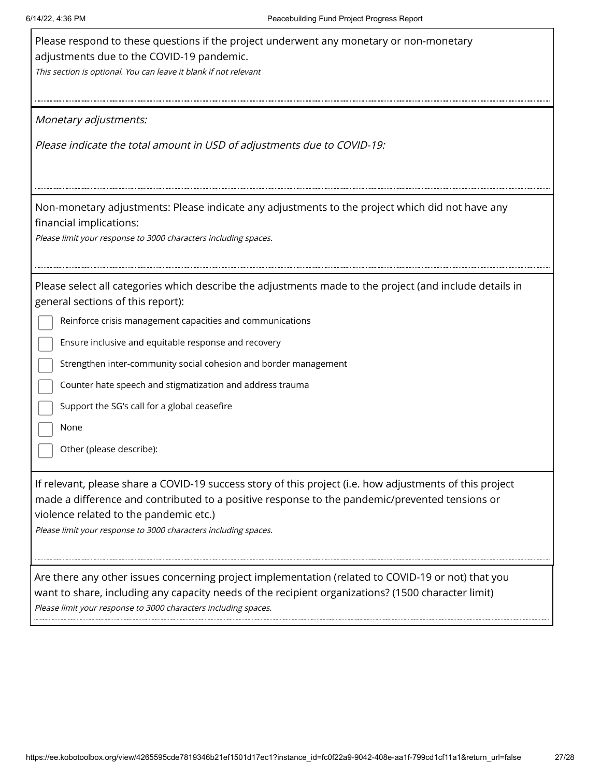| Please respond to these questions if the project underwent any monetary or non-monetary<br>adjustments due to the COVID-19 pandemic.<br>This section is optional. You can leave it blank if not relevant                                                                                                                                                                                                                                                                               |
|----------------------------------------------------------------------------------------------------------------------------------------------------------------------------------------------------------------------------------------------------------------------------------------------------------------------------------------------------------------------------------------------------------------------------------------------------------------------------------------|
| Monetary adjustments:                                                                                                                                                                                                                                                                                                                                                                                                                                                                  |
| Please indicate the total amount in USD of adjustments due to COVID-19:                                                                                                                                                                                                                                                                                                                                                                                                                |
| Non-monetary adjustments: Please indicate any adjustments to the project which did not have any<br>financial implications:<br>Please limit your response to 3000 characters including spaces.                                                                                                                                                                                                                                                                                          |
| Please select all categories which describe the adjustments made to the project (and include details in<br>general sections of this report):<br>Reinforce crisis management capacities and communications<br>Ensure inclusive and equitable response and recovery<br>Strengthen inter-community social cohesion and border management<br>Counter hate speech and stigmatization and address trauma<br>Support the SG's call for a global ceasefire<br>None<br>Other (please describe): |
| If relevant, please share a COVID-19 success story of this project (i.e. how adjustments of this project<br>made a difference and contributed to a positive response to the pandemic/prevented tensions or<br>violence related to the pandemic etc.)<br>Please limit your response to 3000 characters including spaces.                                                                                                                                                                |
| Are there any other issues concerning project implementation (related to COVID-19 or not) that you<br>want to share, including any capacity needs of the recipient organizations? (1500 character limit)<br>Please limit your response to 3000 characters including spaces.                                                                                                                                                                                                            |